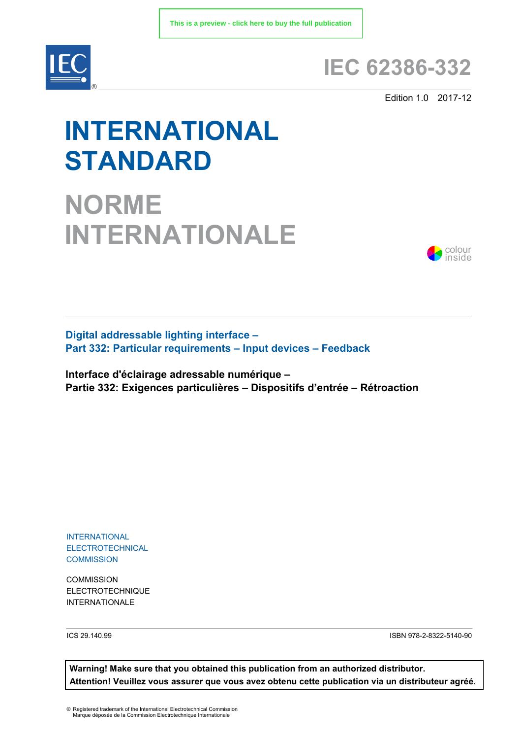

## **IEC 62386-332**

Edition 1.0 2017-12

# **INTERNATIONAL STANDARD**

**NORME INTERNATIONALE**



**Digital addressable lighting interface – Part 332: Particular requirements – Input devices – Feedback**

**Interface d'éclairage adressable numérique – Partie 332: Exigences particulières – Dispositifs d'entrée – Rétroaction**

INTERNATIONAL **ELECTROTECHNICAL COMMISSION** 

**COMMISSION** ELECTROTECHNIQUE INTERNATIONALE

ICS 29.140.99 ISBN 978-2-8322-5140-90

**Warning! Make sure that you obtained this publication from an authorized distributor. Attention! Veuillez vous assurer que vous avez obtenu cette publication via un distributeur agréé.**

® Registered trademark of the International Electrotechnical Commission Marque déposée de la Commission Electrotechnique Internationale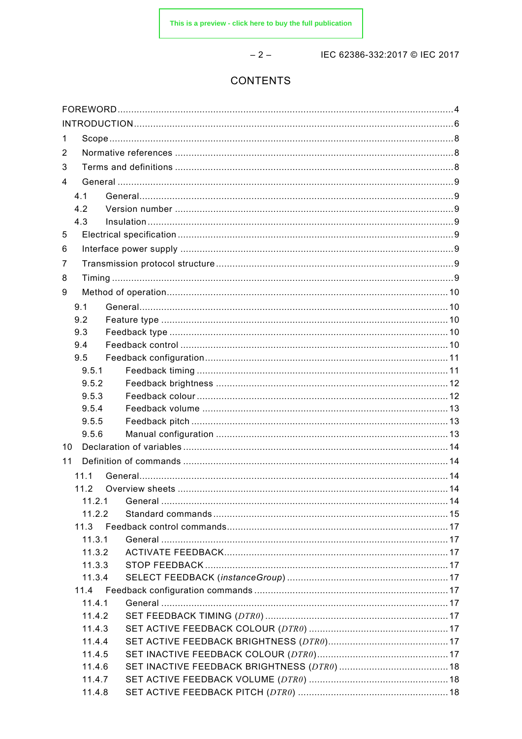$-2-$ 

IEC 62386-332:2017 © IEC 2017

## **CONTENTS**

| 1  |        |  |  |  |
|----|--------|--|--|--|
| 2  |        |  |  |  |
| 3  |        |  |  |  |
| 4  |        |  |  |  |
|    | 4.1    |  |  |  |
|    | 4.2    |  |  |  |
|    | 4.3    |  |  |  |
| 5  |        |  |  |  |
|    |        |  |  |  |
| 6  |        |  |  |  |
| 7  |        |  |  |  |
| 8  |        |  |  |  |
| 9  |        |  |  |  |
|    | 9.1    |  |  |  |
|    | 9.2    |  |  |  |
|    | 9.3    |  |  |  |
|    | 9.4    |  |  |  |
|    | 9.5    |  |  |  |
|    | 9.5.1  |  |  |  |
|    | 9.5.2  |  |  |  |
|    | 9.5.3  |  |  |  |
|    | 9.5.4  |  |  |  |
|    | 9.5.5  |  |  |  |
|    | 9.5.6  |  |  |  |
| 10 |        |  |  |  |
| 11 |        |  |  |  |
|    | 11.1   |  |  |  |
|    | 11.2   |  |  |  |
|    | 11.2.1 |  |  |  |
|    | 11.2.2 |  |  |  |
|    | 11.3   |  |  |  |
|    | 11.3.1 |  |  |  |
|    | 11.3.2 |  |  |  |
|    | 11.3.3 |  |  |  |
|    | 11.3.4 |  |  |  |
|    | 11.4   |  |  |  |
|    | 11.4.1 |  |  |  |
|    | 11.4.2 |  |  |  |
|    | 11.4.3 |  |  |  |
|    | 11.4.4 |  |  |  |
|    | 11.4.5 |  |  |  |
|    | 11.4.6 |  |  |  |
|    | 11.4.7 |  |  |  |
|    | 11.4.8 |  |  |  |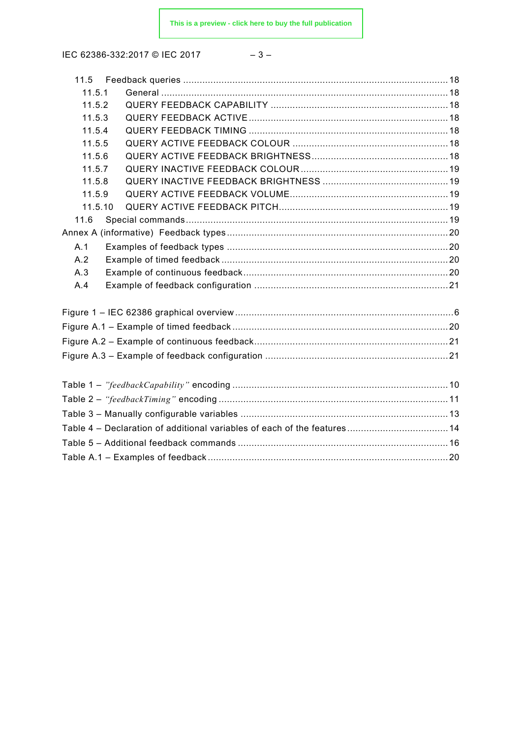$$
-3- \nonumber\\
$$

| 11.5.1  |                                                                          |  |
|---------|--------------------------------------------------------------------------|--|
| 11.5.2  |                                                                          |  |
| 11.5.3  |                                                                          |  |
| 11.5.4  |                                                                          |  |
| 11.5.5  |                                                                          |  |
| 11.5.6  |                                                                          |  |
| 11.5.7  |                                                                          |  |
| 11.5.8  |                                                                          |  |
| 11.5.9  |                                                                          |  |
| 11.5.10 |                                                                          |  |
| 11.6    |                                                                          |  |
|         |                                                                          |  |
| A.1     |                                                                          |  |
| A.2     |                                                                          |  |
| A.3     |                                                                          |  |
| A.4     |                                                                          |  |
|         |                                                                          |  |
|         |                                                                          |  |
|         |                                                                          |  |
|         |                                                                          |  |
|         |                                                                          |  |
|         |                                                                          |  |
|         |                                                                          |  |
|         | Table 4 - Declaration of additional variables of each of the features 14 |  |
|         |                                                                          |  |
|         |                                                                          |  |
|         |                                                                          |  |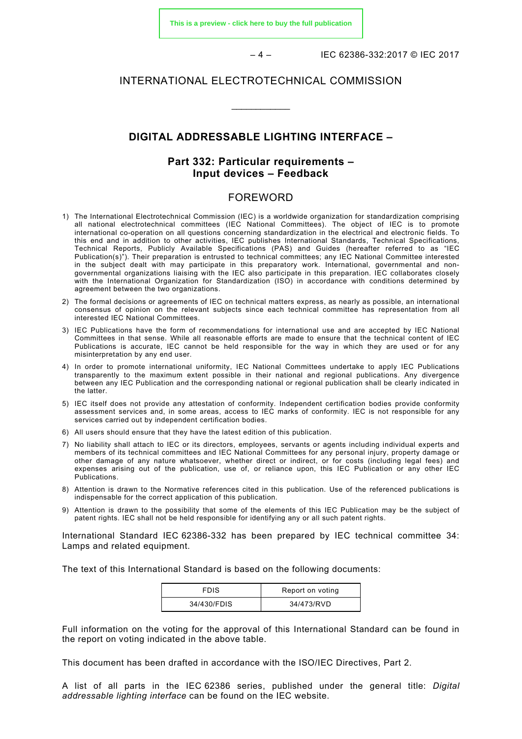**[This is a preview - click here to buy the full publication](https://webstore.iec.ch/publication/33993&preview)**

– 4 – IEC 62386-332:2017 © IEC 2017

## INTERNATIONAL ELECTROTECHNICAL COMMISSION

## **DIGITAL ADDRESSABLE LIGHTING INTERFACE –**

\_\_\_\_\_\_\_\_\_\_\_\_

## **Part 332: Particular requirements – Input devices – Feedback**

## FOREWORD

- <span id="page-3-0"></span>1) The International Electrotechnical Commission (IEC) is a worldwide organization for standardization comprising all national electrotechnical committees (IEC National Committees). The object of IEC is to promote international co-operation on all questions concerning standardization in the electrical and electronic fields. To this end and in addition to other activities, IEC publishes International Standards, Technical Specifications, Technical Reports, Publicly Available Specifications (PAS) and Guides (hereafter referred to as "IEC Publication(s)"). Their preparation is entrusted to technical committees; any IEC National Committee interested in the subject dealt with may participate in this preparatory work. International, governmental and nongovernmental organizations liaising with the IEC also participate in this preparation. IEC collaborates closely with the International Organization for Standardization (ISO) in accordance with conditions determined by agreement between the two organizations.
- 2) The formal decisions or agreements of IEC on technical matters express, as nearly as possible, an international consensus of opinion on the relevant subjects since each technical committee has representation from all interested IEC National Committees.
- 3) IEC Publications have the form of recommendations for international use and are accepted by IEC National Committees in that sense. While all reasonable efforts are made to ensure that the technical content of IEC Publications is accurate, IEC cannot be held responsible for the way in which they are used or for any misinterpretation by any end user.
- 4) In order to promote international uniformity, IEC National Committees undertake to apply IEC Publications transparently to the maximum extent possible in their national and regional publications. Any divergence between any IEC Publication and the corresponding national or regional publication shall be clearly indicated in the latter.
- 5) IEC itself does not provide any attestation of conformity. Independent certification bodies provide conformity assessment services and, in some areas, access to IEC marks of conformity. IEC is not responsible for any services carried out by independent certification bodies.
- 6) All users should ensure that they have the latest edition of this publication.
- 7) No liability shall attach to IEC or its directors, employees, servants or agents including individual experts and members of its technical committees and IEC National Committees for any personal injury, property damage or other damage of any nature whatsoever, whether direct or indirect, or for costs (including legal fees) and expenses arising out of the publication, use of, or reliance upon, this IEC Publication or any other IEC Publications.
- 8) Attention is drawn to the Normative references cited in this publication. Use of the referenced publications is indispensable for the correct application of this publication.
- 9) Attention is drawn to the possibility that some of the elements of this IEC Publication may be the subject of patent rights. IEC shall not be held responsible for identifying any or all such patent rights.

International Standard IEC 62386-332 has been prepared by IEC technical committee 34: Lamps and related equipment.

The text of this International Standard is based on the following documents:

| <b>FDIS</b> | Report on voting |
|-------------|------------------|
| 34/430/FDIS | 34/473/RVD       |

Full information on the voting for the approval of this International Standard can be found in the report on voting indicated in the above table.

This document has been drafted in accordance with the ISO/IEC Directives, Part 2.

A list of all parts in the IEC 62386 series, published under the general title: *Digital addressable lighting interface* can be found on the IEC website.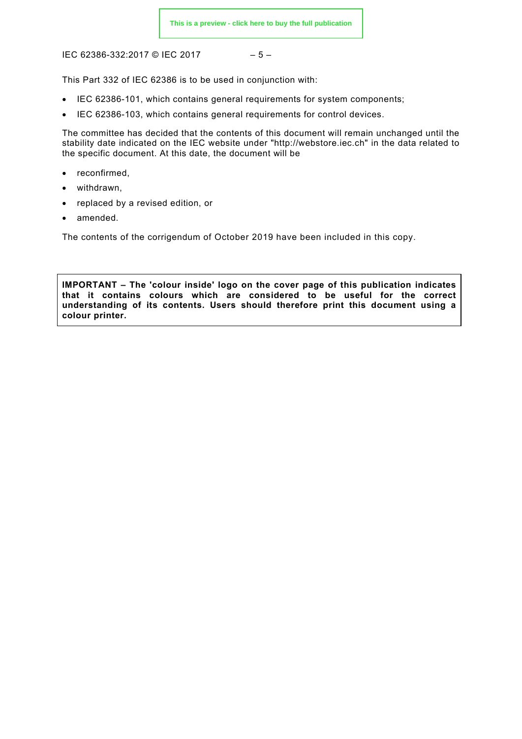$$
-5-
$$

This Part 332 of IEC 62386 is to be used in conjunction with:

- IEC 62386-101, which contains general requirements for system components;
- IEC 62386-103, which contains general requirements for control devices.

The committee has decided that the contents of this document will remain unchanged until the stability date indicated on the IEC website under "http://webstore.iec.ch" in the data related to the specific document. At this date, the document will be

- reconfirmed,
- withdrawn.
- replaced by a revised edition, or
- amended.

The contents of the corrigendum of October 2019 have been included in this copy.

**IMPORTANT – The 'colour inside' logo on the cover page of this publication indicates that it contains colours which are considered to be useful for the correct understanding of its contents. Users should therefore print this document using a colour printer.**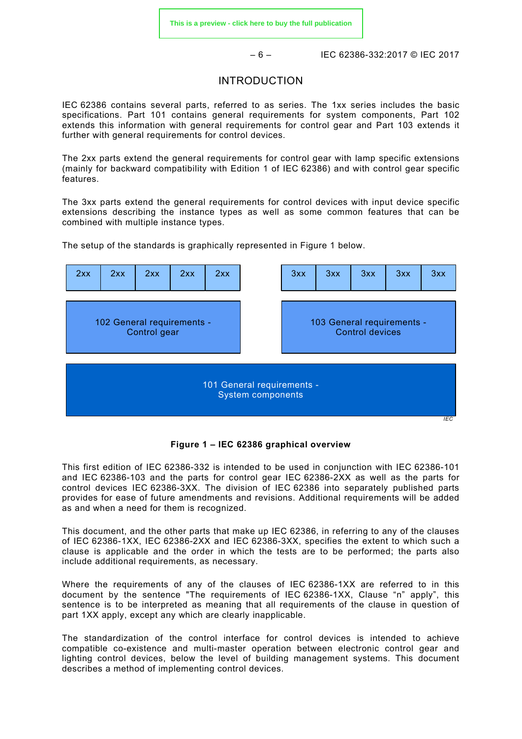– 6 – IEC 62386-332:2017 © IEC 2017

## INTRODUCTION

<span id="page-5-0"></span>IEC 62386 contains several parts, referred to as series. The 1xx series includes the basic specifications. Part 101 contains general requirements for system components, Part 102 extends this information with general requirements for control gear and Part 103 extends it further with general requirements for control devices.

The 2xx parts extend the general requirements for control gear with lamp specific extensions (mainly for backward compatibility with Edition 1 of IEC 62386) and with control gear specific features.

The 3xx parts extend the general requirements for control devices with input device specific extensions describing the instance types as well as some common features that can be combined with multiple instance types.

The setup of the standards is graphically represented in [Figure 1](#page-5-1) below.



**Figure 1 – IEC 62386 graphical overview** 

<span id="page-5-1"></span>This first edition of IEC 62386-332 is intended to be used in conjunction with IEC 62386-101 and IEC 62386-103 and the parts for control gear IEC 62386-2XX as well as the parts for control devices IEC 62386-3XX. The division of IEC 62386 into separately published parts provides for ease of future amendments and revisions. Additional requirements will be added as and when a need for them is recognized.

This document, and the other parts that make up IEC 62386, in referring to any of the clauses of IEC 62386-1XX, IEC 62386-2XX and IEC 62386-3XX, specifies the extent to which such a clause is applicable and the order in which the tests are to be performed; the parts also include additional requirements, as necessary.

Where the requirements of any of the clauses of IEC 62386-1XX are referred to in this document by the sentence "The requirements of IEC 62386-1XX, Clause "n" apply", this sentence is to be interpreted as meaning that all requirements of the clause in question of part 1XX apply, except any which are clearly inapplicable.

The standardization of the control interface for control devices is intended to achieve compatible co-existence and multi-master operation between electronic control gear and lighting control devices, below the level of building management systems. This document describes a method of implementing control devices.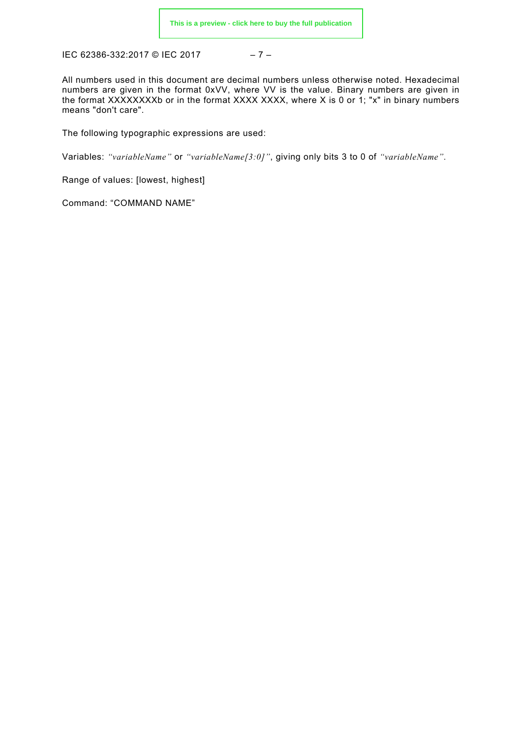IEC 62386-332:2017 © IEC 2017 - 7 -

All numbers used in this document are decimal numbers unless otherwise noted. Hexadecimal numbers are given in the format 0xVV, where VV is the value. Binary numbers are given in the format XXXXXXXXb or in the format XXXX XXXX, where X is 0 or 1; "x" in binary numbers means "don't care".

The following typographic expressions are used:

Variables: *"variableName"* or *"variableName[3:0]"*, giving only bits 3 to 0 of *"variableName"*.

Range of values: [lowest, highest]

Command: "COMMAND NAME"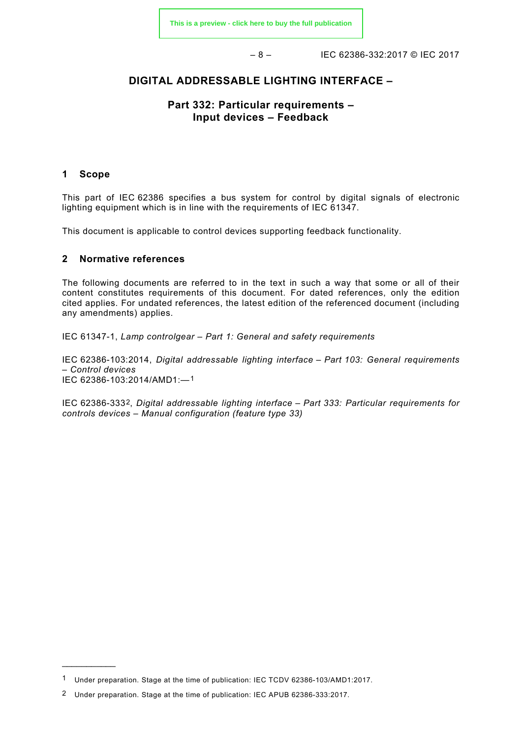– 8 – IEC 62386-332:2017 © IEC 2017

## **DIGITAL ADDRESSABLE LIGHTING INTERFACE –**

## **Part 332: Particular requirements – Input devices – Feedback**

#### <span id="page-7-0"></span>**1 Scope**

 $\overline{\phantom{a}}$ 

This part of IEC 62386 specifies a bus system for control by digital signals of electronic lighting equipment which is in line with the requirements of IEC 61347.

This document is applicable to control devices supporting feedback functionality.

## <span id="page-7-1"></span>**2 Normative references**

The following documents are referred to in the text in such a way that some or all of their content constitutes requirements of this document. For dated references, only the edition cited applies. For undated references, the latest edition of the referenced document (including any amendments) applies.

IEC 61347-1, *Lamp controlgear – Part 1: General and safety requirements*

IEC 62386-103:2014, *Digital addressable lighting interface – Part 103: General requirements – Control devices*  IEC 62386-103:2014/AMD1:—[1](#page-7-3)

<span id="page-7-2"></span>IEC 62386-333[2](#page-7-4), *Digital addressable lighting interface – Part 333: Particular requirements for controls devices – Manual configuration (feature type 33)*

<span id="page-7-3"></span><sup>1</sup> Under preparation. Stage at the time of publication: IEC TCDV 62386-103/AMD1:2017.

<span id="page-7-4"></span><sup>2</sup> Under preparation. Stage at the time of publication: IEC APUB 62386-333:2017.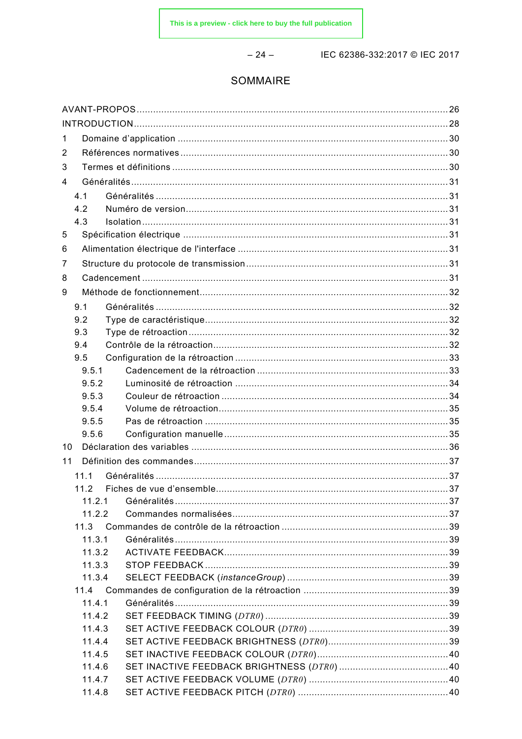$-24-$ 

IEC 62386-332:2017 © IEC 2017

## SOMMAIRE

| $\mathbf 1$ |              |  |  |  |
|-------------|--------------|--|--|--|
| 2           |              |  |  |  |
| 3           |              |  |  |  |
| 4           |              |  |  |  |
|             | 4.1          |  |  |  |
|             | 4.2          |  |  |  |
|             | 4.3          |  |  |  |
| 5           |              |  |  |  |
| 6           |              |  |  |  |
| 7           |              |  |  |  |
| 8           |              |  |  |  |
| 9           |              |  |  |  |
|             |              |  |  |  |
|             | 9.1          |  |  |  |
|             | 9.2          |  |  |  |
|             | 9.3<br>9.4   |  |  |  |
|             | 9.5          |  |  |  |
|             | 9.5.1        |  |  |  |
|             | 9.5.2        |  |  |  |
|             | 9.5.3        |  |  |  |
|             | 9.5.4        |  |  |  |
|             | 9.5.5        |  |  |  |
|             | 9.5.6        |  |  |  |
| 10          |              |  |  |  |
| 11          |              |  |  |  |
|             |              |  |  |  |
|             | 11.1<br>11.2 |  |  |  |
|             | 11.2.1       |  |  |  |
|             | 11.2.2       |  |  |  |
|             | 11.3         |  |  |  |
|             | 11.3.1       |  |  |  |
|             | 11.3.2       |  |  |  |
|             | 11.3.3       |  |  |  |
|             | 11.3.4       |  |  |  |
|             | 11.4         |  |  |  |
|             | 11.4.1       |  |  |  |
|             | 11.4.2       |  |  |  |
|             | 11.4.3       |  |  |  |
|             | 11.4.4       |  |  |  |
|             | 11.4.5       |  |  |  |
|             | 11.4.6       |  |  |  |
|             | 11.4.7       |  |  |  |
|             | 11.4.8       |  |  |  |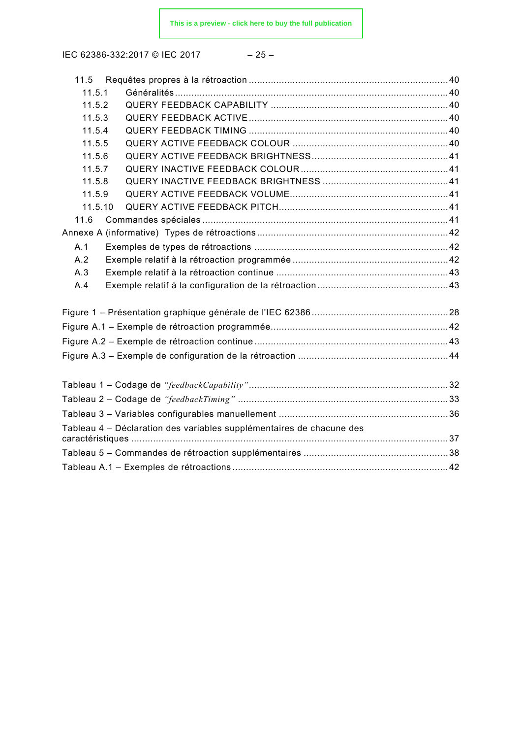IEC 62386-332:2017 © IEC 2017 - 25

$$
-25-
$$

| 11.5.1                                                               |  |
|----------------------------------------------------------------------|--|
| 11.5.2                                                               |  |
| 11.5.3                                                               |  |
| 11.5.4                                                               |  |
| 11.5.5                                                               |  |
| 11.5.6                                                               |  |
| 11.5.7                                                               |  |
| 11.5.8                                                               |  |
| 11.5.9                                                               |  |
| 11.5.10                                                              |  |
| 11.6                                                                 |  |
|                                                                      |  |
| A.1                                                                  |  |
| A.2                                                                  |  |
| A.3                                                                  |  |
| A.4                                                                  |  |
|                                                                      |  |
|                                                                      |  |
|                                                                      |  |
|                                                                      |  |
|                                                                      |  |
|                                                                      |  |
|                                                                      |  |
|                                                                      |  |
| Tableau 4 - Déclaration des variables supplémentaires de chacune des |  |
|                                                                      |  |
|                                                                      |  |
|                                                                      |  |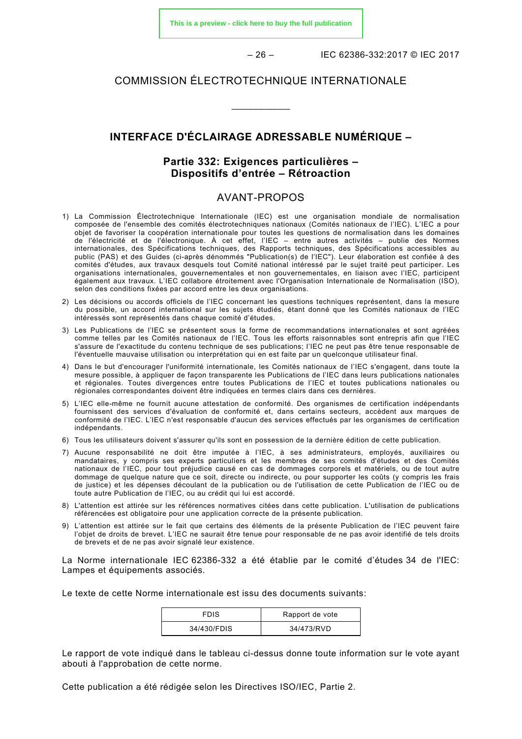**[This is a preview - click here to buy the full publication](https://webstore.iec.ch/publication/33993&preview)**

– 26 – IEC 62386-332:2017 © IEC 2017

## COMMISSION ÉLECTROTECHNIQUE INTERNATIONALE

\_\_\_\_\_\_\_\_\_\_\_\_

## **INTERFACE D'ÉCLAIRAGE ADRESSABLE NUMÉRIQUE –**

## **Partie 332: Exigences particulières – Dispositifs d'entrée – Rétroaction**

## AVANT-PROPOS

- <span id="page-10-0"></span>1) La Commission Électrotechnique Internationale (IEC) est une organisation mondiale de normalisation composée de l'ensemble des comités électrotechniques nationaux (Comités nationaux de l'IEC). L'IEC a pour objet de favoriser la coopération internationale pour toutes les questions de normalisation dans les domaines de l'électricité et de l'électronique. À cet effet, l'IEC – entre autres activités – publie des Normes internationales, des Spécifications techniques, des Rapports techniques, des Spécifications accessibles au public (PAS) et des Guides (ci-après dénommés "Publication(s) de l'IEC"). Leur élaboration est confiée à des comités d'études, aux travaux desquels tout Comité national intéressé par le sujet traité peut participer. Les organisations internationales, gouvernementales et non gouvernementales, en liaison avec l'IEC, participent également aux travaux. L'IEC collabore étroitement avec l'Organisation Internationale de Normalisation (ISO), selon des conditions fixées par accord entre les deux organisations.
- 2) Les décisions ou accords officiels de l'IEC concernant les questions techniques représentent, dans la mesure du possible, un accord international sur les sujets étudiés, étant donné que les Comités nationaux de l'IEC intéressés sont représentés dans chaque comité d'études.
- 3) Les Publications de l'IEC se présentent sous la forme de recommandations internationales et sont agréées comme telles par les Comités nationaux de l'IEC. Tous les efforts raisonnables sont entrepris afin que l'IEC s'assure de l'exactitude du contenu technique de ses publications; l'IEC ne peut pas être tenue responsable de l'éventuelle mauvaise utilisation ou interprétation qui en est faite par un quelconque utilisateur final.
- 4) Dans le but d'encourager l'uniformité internationale, les Comités nationaux de l'IEC s'engagent, dans toute la mesure possible, à appliquer de façon transparente les Publications de l'IEC dans leurs publications nationales et régionales. Toutes divergences entre toutes Publications de l'IEC et toutes publications nationales ou régionales correspondantes doivent être indiquées en termes clairs dans ces dernières.
- 5) L'IEC elle-même ne fournit aucune attestation de conformité. Des organismes de certification indépendants fournissent des services d'évaluation de conformité et, dans certains secteurs, accèdent aux marques de conformité de l'IEC. L'IEC n'est responsable d'aucun des services effectués par les organismes de certification indépendants.
- 6) Tous les utilisateurs doivent s'assurer qu'ils sont en possession de la dernière édition de cette publication.
- 7) Aucune responsabilité ne doit être imputée à l'IEC, à ses administrateurs, employés, auxiliaires ou mandataires, y compris ses experts particuliers et les membres de ses comités d'études et des Comités nationaux de l'IEC, pour tout préjudice causé en cas de dommages corporels et matériels, ou de tout autre dommage de quelque nature que ce soit, directe ou indirecte, ou pour supporter les coûts (y compris les frais de justice) et les dépenses découlant de la publication ou de l'utilisation de cette Publication de l'IEC ou de toute autre Publication de l'IEC, ou au crédit qui lui est accordé.
- 8) L'attention est attirée sur les références normatives citées dans cette publication. L'utilisation de publications référencées est obligatoire pour une application correcte de la présente publication.
- 9) L'attention est attirée sur le fait que certains des éléments de la présente Publication de l'IEC peuvent faire l'objet de droits de brevet. L'IEC ne saurait être tenue pour responsable de ne pas avoir identifié de tels droits de brevets et de ne pas avoir signalé leur existence.

La Norme internationale IEC 62386-332 a été établie par le comité d'études 34 de l'IEC: Lampes et équipements associés.

Le texte de cette Norme internationale est issu des documents suivants:

| <b>FDIS</b> | Rapport de vote |
|-------------|-----------------|
| 34/430/FDIS | 34/473/RVD      |

Le rapport de vote indiqué dans le tableau ci-dessus donne toute information sur le vote ayant abouti à l'approbation de cette norme.

Cette publication a été rédigée selon les Directives ISO/IEC, Partie 2.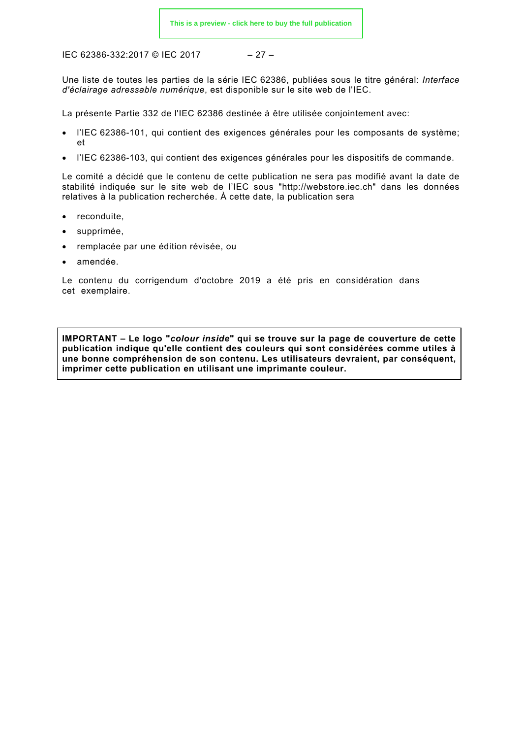$$
-27-
$$

Une liste de toutes les parties de la série IEC 62386, publiées sous le titre général: *Interface d'éclairage adressable numérique*, est disponible sur le site web de l'IEC.

La présente Partie 332 de l'IEC 62386 destinée à être utilisée conjointement avec:

- l'IEC 62386-101, qui contient des exigences générales pour les composants de système; et
- l'IEC 62386-103, qui contient des exigences générales pour les dispositifs de commande.

Le comité a décidé que le contenu de cette publication ne sera pas modifié avant la date de stabilité indiquée sur le site web de l'IEC sous "http://webstore.iec.ch" dans les données relatives à la publication recherchée. À cette date, la publication sera

- reconduite,
- supprimée.
- remplacée par une édition révisée, ou
- amendée.

Le contenu du corrigendum d'octobre 2019 a été pris en considération dans cet exemplaire.

**IMPORTANT – Le logo "***colour inside***" qui se trouve sur la page de couverture de cette publication indique qu'elle contient des couleurs qui sont considérées comme utiles à une bonne compréhension de son contenu. Les utilisateurs devraient, par conséquent, imprimer cette publication en utilisant une imprimante couleur.**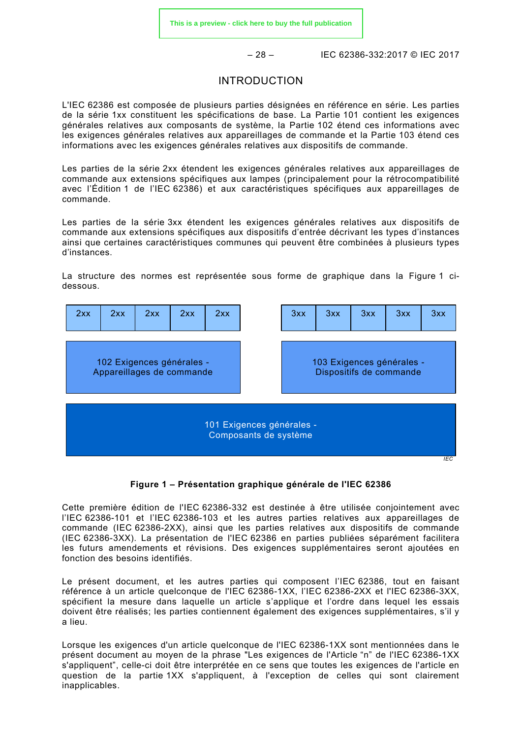$-28 -$  IEC 62386-332:2017 © IEC 2017

## INTRODUCTION

<span id="page-12-0"></span>L'IEC 62386 est composée de plusieurs parties désignées en référence en série. Les parties de la série 1xx constituent les spécifications de base. La Partie 101 contient les exigences générales relatives aux composants de système, la Partie 102 étend ces informations avec les exigences générales relatives aux appareillages de commande et la Partie 103 étend ces informations avec les exigences générales relatives aux dispositifs de commande.

Les parties de la série 2xx étendent les exigences générales relatives aux appareillages de commande aux extensions spécifiques aux lampes (principalement pour la rétrocompatibilité avec l'Édition 1 de l'IEC 62386) et aux caractéristiques spécifiques aux appareillages de commande.

Les parties de la série 3xx étendent les exigences générales relatives aux dispositifs de commande aux extensions spécifiques aux dispositifs d'entrée décrivant les types d'instances ainsi que certaines caractéristiques communes qui peuvent être combinées à plusieurs types d'instances.

La structure des normes est représentée sous forme de graphique dans la [Figure 1](#page-12-1) cidessous.



**Figure 1 – Présentation graphique générale de l'IEC 62386**

<span id="page-12-1"></span>Cette première édition de l'IEC 62386-332 est destinée à être utilisée conjointement avec l'IEC 62386-101 et l'IEC 62386-103 et les autres parties relatives aux appareillages de commande (IEC 62386-2XX), ainsi que les parties relatives aux dispositifs de commande (IEC 62386-3XX). La présentation de l'IEC 62386 en parties publiées séparément facilitera les futurs amendements et révisions. Des exigences supplémentaires seront ajoutées en fonction des besoins identifiés.

Le présent document, et les autres parties qui composent l'IEC 62386, tout en faisant référence à un article quelconque de l'IEC 62386-1XX, l'IEC 62386-2XX et l'IEC 62386-3XX, spécifient la mesure dans laquelle un article s'applique et l'ordre dans lequel les essais doivent être réalisés; les parties contiennent également des exigences supplémentaires, s'il y a lieu.

Lorsque les exigences d'un article quelconque de l'IEC 62386-1XX sont mentionnées dans le présent document au moyen de la phrase "Les exigences de l'Article "n" de l'IEC 62386-1XX s'appliquent", celle-ci doit être interprétée en ce sens que toutes les exigences de l'article en question de la partie 1XX s'appliquent, à l'exception de celles qui sont clairement inapplicables.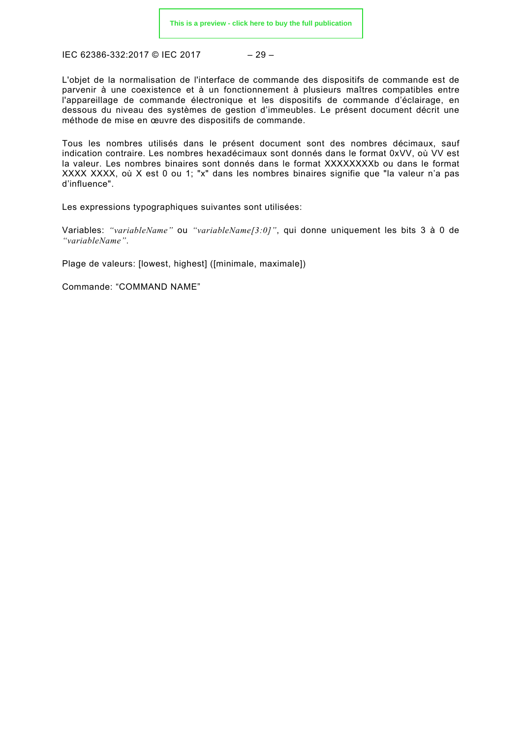$$
-29-
$$

L'objet de la normalisation de l'interface de commande des dispositifs de commande est de parvenir à une coexistence et à un fonctionnement à plusieurs maîtres compatibles entre l'appareillage de commande électronique et les dispositifs de commande d'éclairage, en dessous du niveau des systèmes de gestion d'immeubles. Le présent document décrit une méthode de mise en œuvre des dispositifs de commande.

Tous les nombres utilisés dans le présent document sont des nombres décimaux, sauf indication contraire. Les nombres hexadécimaux sont donnés dans le format 0xVV, où VV est la valeur. Les nombres binaires sont donnés dans le format XXXXXXXXb ou dans le format XXXX XXXX, où X est 0 ou 1; "x" dans les nombres binaires signifie que "la valeur n'a pas d'influence".

Les expressions typographiques suivantes sont utilisées:

Variables: *"variableName"* ou *"variableName[3:0]"*, qui donne uniquement les bits 3 à 0 de *"variableName"*.

Plage de valeurs: [lowest, highest] ([minimale, maximale])

Commande: "COMMAND NAME"